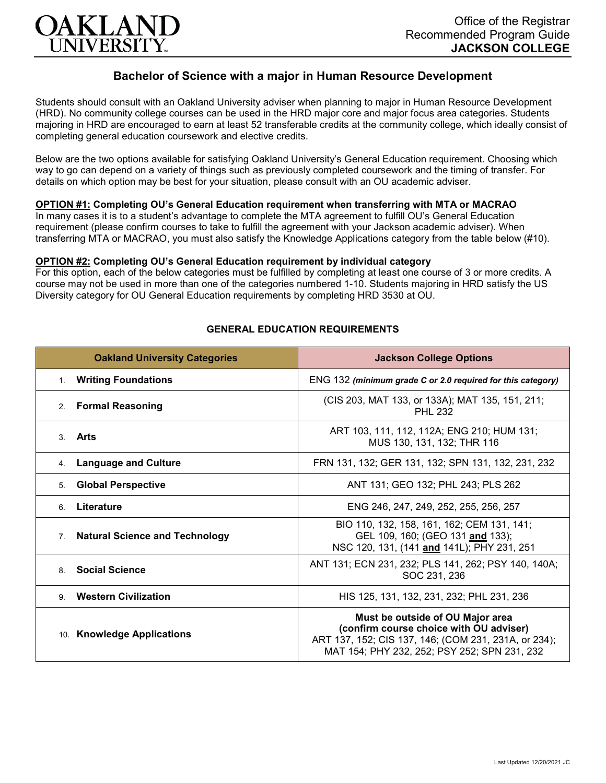

# **Bachelor of Science with a major in Human Resource Development**

Students should consult with an Oakland University adviser when planning to major in Human Resource Development (HRD). No community college courses can be used in the HRD major core and major focus area categories. Students majoring in HRD are encouraged to earn at least 52 transferable credits at the community college, which ideally consist of completing general education coursework and elective credits.

Below are the two options available for satisfying Oakland University's General Education requirement. Choosing which way to go can depend on a variety of things such as previously completed coursework and the timing of transfer. For details on which option may be best for your situation, please consult with an OU academic adviser.

## **OPTION #1: Completing OU's General Education requirement when transferring with MTA or MACRAO**

In many cases it is to a student's advantage to complete the MTA agreement to fulfill OU's General Education requirement (please confirm courses to take to fulfill the agreement with your Jackson academic adviser). When transferring MTA or MACRAO, you must also satisfy the Knowledge Applications category from the table below (#10).

#### **OPTION #2: Completing OU's General Education requirement by individual category**

For this option, each of the below categories must be fulfilled by completing at least one course of 3 or more credits. A course may not be used in more than one of the categories numbered 1-10. Students majoring in HRD satisfy the US Diversity category for OU General Education requirements by completing HRD 3530 at OU.

| <b>Oakland University Categories</b>                    | <b>Jackson College Options</b>                                                                                                                                                      |
|---------------------------------------------------------|-------------------------------------------------------------------------------------------------------------------------------------------------------------------------------------|
| <b>Writing Foundations</b><br>1.                        | ENG 132 (minimum grade C or 2.0 required for this category)                                                                                                                         |
| <b>Formal Reasoning</b><br>2.                           | (CIS 203, MAT 133, or 133A); MAT 135, 151, 211;<br><b>PHL 232</b>                                                                                                                   |
| Arts<br>$\mathcal{S}$                                   | ART 103, 111, 112, 112A; ENG 210; HUM 131;<br>MUS 130, 131, 132; THR 116                                                                                                            |
| <b>Language and Culture</b><br>4.                       | FRN 131, 132; GER 131, 132; SPN 131, 132, 231, 232                                                                                                                                  |
| <b>Global Perspective</b><br>5.                         | ANT 131; GEO 132; PHL 243; PLS 262                                                                                                                                                  |
| Literature<br>6.                                        | ENG 246, 247, 249, 252, 255, 256, 257                                                                                                                                               |
| <b>Natural Science and Technology</b><br>7 <sub>1</sub> | BIO 110, 132, 158, 161, 162; CEM 131, 141;<br>GEL 109, 160; (GEO 131 and 133);<br>NSC 120, 131, (141 and 141L); PHY 231, 251                                                        |
| <b>Social Science</b><br>8                              | ANT 131; ECN 231, 232; PLS 141, 262; PSY 140, 140A;<br>SOC 231, 236                                                                                                                 |
| <b>Western Civilization</b><br>9.                       | HIS 125, 131, 132, 231, 232; PHL 231, 236                                                                                                                                           |
| 10. Knowledge Applications                              | Must be outside of OU Major area<br>(confirm course choice with OU adviser)<br>ART 137, 152; CIS 137, 146; (COM 231, 231A, or 234);<br>MAT 154; PHY 232, 252; PSY 252; SPN 231, 232 |

## **GENERAL EDUCATION REQUIREMENTS**